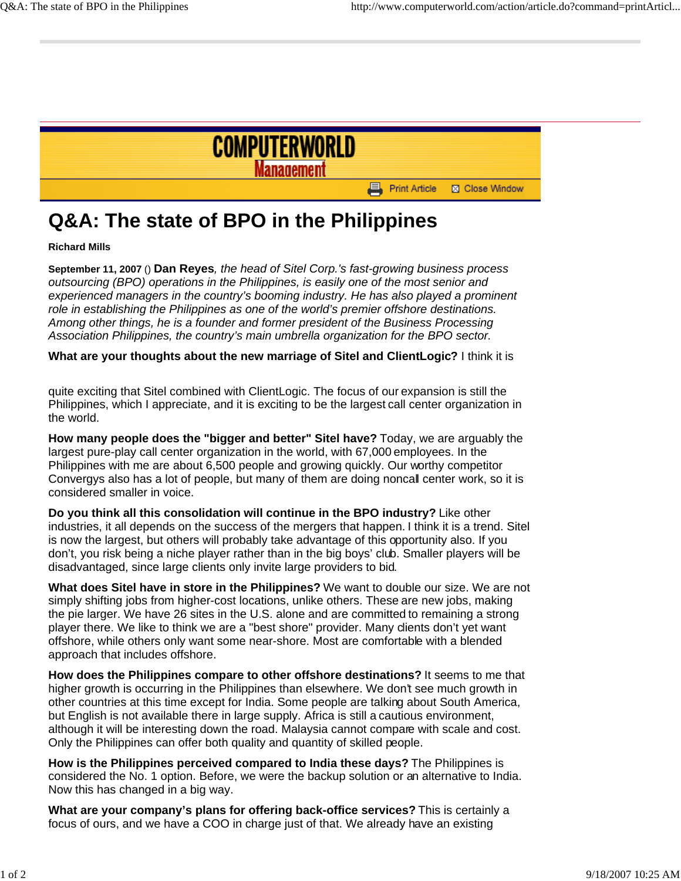

## **Q&A: The state of BPO in the Philippines**

**Richard Mills**

**September 11, 2007** () **Dan Reyes***, the head of Sitel Corp.'s fast-growing business process outsourcing (BPO) operations in the Philippines, is easily one of the most senior and experienced managers in the country's booming industry. He has also played a prominent role in establishing the Philippines as one of the world's premier offshore destinations. Among other things, he is a founder and former president of the Business Processing Association Philippines, the country's main umbrella organization for the BPO sector.*

**What are your thoughts about the new marriage of Sitel and ClientLogic?** I think it is

quite exciting that Sitel combined with ClientLogic. The focus of our expansion is still the Philippines, which I appreciate, and it is exciting to be the largest call center organization in the world.

**How many people does the "bigger and better" Sitel have?** Today, we are arguably the largest pure-play call center organization in the world, with 67,000 employees. In the Philippines with me are about 6,500 people and growing quickly. Our worthy competitor Convergys also has a lot of people, but many of them are doing noncall center work, so it is considered smaller in voice.

**Do you think all this consolidation will continue in the BPO industry?** Like other industries, it all depends on the success of the mergers that happen. I think it is a trend. Sitel is now the largest, but others will probably take advantage of this opportunity also. If you don't, you risk being a niche player rather than in the big boys' club. Smaller players will be disadvantaged, since large clients only invite large providers to bid.

**What does Sitel have in store in the Philippines?** We want to double our size. We are not simply shifting jobs from higher-cost locations, unlike others. These are new jobs, making the pie larger. We have 26 sites in the U.S. alone and are committed to remaining a strong player there. We like to think we are a "best shore" provider. Many clients don't yet want offshore, while others only want some near-shore. Most are comfortable with a blended approach that includes offshore.

**How does the Philippines compare to other offshore destinations?** It seems to me that higher growth is occurring in the Philippines than elsewhere. We don't see much growth in other countries at this time except for India. Some people are talking about South America, but English is not available there in large supply. Africa is still a cautious environment, although it will be interesting down the road. Malaysia cannot compare with scale and cost. Only the Philippines can offer both quality and quantity of skilled people.

**How is the Philippines perceived compared to India these days?** The Philippines is considered the No. 1 option. Before, we were the backup solution or an alternative to India. Now this has changed in a big way.

**What are your company's plans for offering back-office services?** This is certainly a focus of ours, and we have a COO in charge just of that. We already have an existing